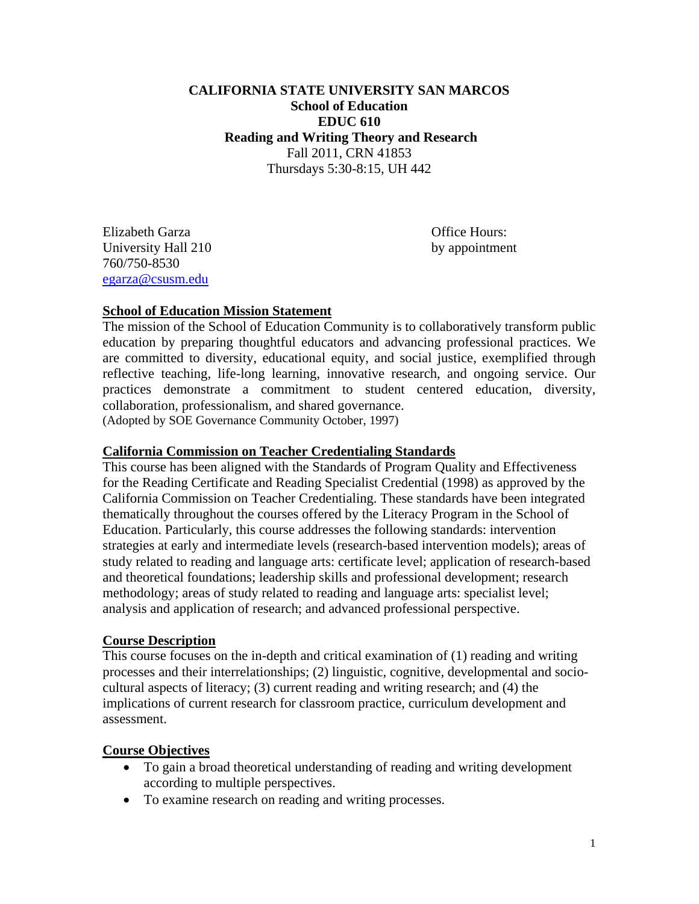# Thursdays 5:30-8:15, UH 442 **CALIFORNIA STATE UNIVERSITY SAN MARCOS School of Education EDUC 610 Reading and Writing Theory and Research**  Fall 2011, CRN 41853

 egarza@csusm.edu Elizabeth Garza Office Hours: University Hall 210 by appointment 760/750-8530

# **School of Education Mission Statement**

The mission of the School of Education Community is to collaboratively transform public education by preparing thoughtful educators and advancing professional practices. We are committed to diversity, educational equity, and social justice, exemplified through reflective teaching, life-long learning, innovative research, and ongoing service. Our practices demonstrate a commitment to student centered education, diversity, collaboration, professionalism, and shared governance.

(Adopted by SOE Governance Community October, 1997)

## **California Commission on Teacher Credentialing Standards**

 analysis and application of research; and advanced professional perspective. This course has been aligned with the Standards of Program Quality and Effectiveness for the Reading Certificate and Reading Specialist Credential (1998) as approved by the California Commission on Teacher Credentialing. These standards have been integrated thematically throughout the courses offered by the Literacy Program in the School of Education. Particularly, this course addresses the following standards: intervention strategies at early and intermediate levels (research-based intervention models); areas of study related to reading and language arts: certificate level; application of research-based and theoretical foundations; leadership skills and professional development; research methodology; areas of study related to reading and language arts: specialist level;

## **Course Description**

This course focuses on the in-depth and critical examination of (1) reading and writing processes and their interrelationships; (2) linguistic, cognitive, developmental and sociocultural aspects of literacy; (3) current reading and writing research; and (4) the implications of current research for classroom practice, curriculum development and assessment.

## **Course Objectives**

- To gain a broad theoretical understanding of reading and writing development according to multiple perspectives.
- To examine research on reading and writing processes.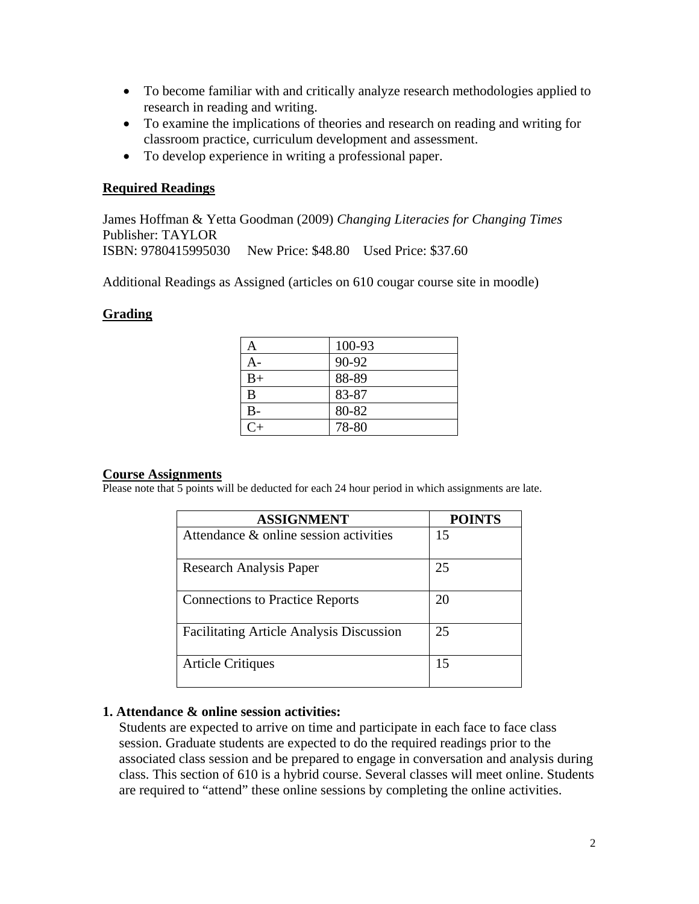- To become familiar with and critically analyze research methodologies applied to research in reading and writing.
- To examine the implications of theories and research on reading and writing for classroom practice, curriculum development and assessment.
- To develop experience in writing a professional paper.

#### **Required Readings**

 ISBN: 9780415995030 New Price: \$48.80 Used Price: \$37.60 James Hoffman & Yetta Goodman (2009) *Changing Literacies for Changing Times*  Publisher: TAYLOR

Additional Readings as Assigned (articles on 610 cougar course site in moodle)

#### **Grading**

| А       | 100-93 |
|---------|--------|
| 4 -     | 90-92  |
| $B+$    | 88-89  |
| B       | 83-87  |
| $B -$   | 80-82  |
| $C_{+}$ | 78-80  |

#### **Course Assignments**

Please note that 5 points will be deducted for each 24 hour period in which assignments are late.

| <b>ASSIGNMENT</b>                               | <b>POINTS</b> |
|-------------------------------------------------|---------------|
| Attendance $\&$ online session activities       | 15            |
| Research Analysis Paper                         | 25            |
| <b>Connections to Practice Reports</b>          | 20            |
| <b>Facilitating Article Analysis Discussion</b> | 25            |
| <b>Article Critiques</b>                        | 15            |

#### **1. Attendance & online session activities:**

Students are expected to arrive on time and participate in each face to face class session. Graduate students are expected to do the required readings prior to the associated class session and be prepared to engage in conversation and analysis during class. This section of 610 is a hybrid course. Several classes will meet online. Students are required to "attend" these online sessions by completing the online activities.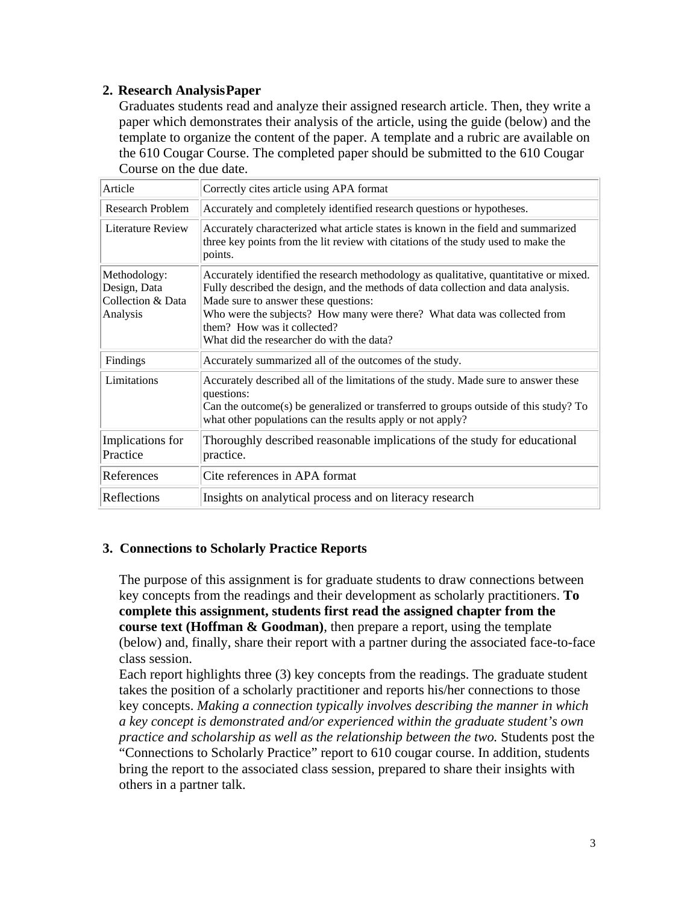# **2. Research Analysis Paper**

Graduates students read and analyze their assigned research article. Then, they write a paper which demonstrates their analysis of the article, using the guide (below) and the template to organize the content of the paper. A template and a rubric are available on the 610 Cougar Course. The completed paper should be submitted to the 610 Cougar Course on the due date.

| Article                                                       | Correctly cites article using APA format                                                                                                                                                                                                                                                                                                                                   |
|---------------------------------------------------------------|----------------------------------------------------------------------------------------------------------------------------------------------------------------------------------------------------------------------------------------------------------------------------------------------------------------------------------------------------------------------------|
| <b>Research Problem</b>                                       | Accurately and completely identified research questions or hypotheses.                                                                                                                                                                                                                                                                                                     |
| Literature Review                                             | Accurately characterized what article states is known in the field and summarized<br>three key points from the lit review with citations of the study used to make the<br>points.                                                                                                                                                                                          |
| Methodology:<br>Design, Data<br>Collection & Data<br>Analysis | Accurately identified the research methodology as qualitative, quantitative or mixed.<br>Fully described the design, and the methods of data collection and data analysis.<br>Made sure to answer these questions:<br>Who were the subjects? How many were there? What data was collected from<br>them? How was it collected?<br>What did the researcher do with the data? |
| Findings                                                      | Accurately summarized all of the outcomes of the study.                                                                                                                                                                                                                                                                                                                    |
| Limitations                                                   | Accurately described all of the limitations of the study. Made sure to answer these<br>questions:<br>Can the outcome(s) be generalized or transferred to groups outside of this study? To<br>what other populations can the results apply or not apply?                                                                                                                    |
| Implications for<br>Practice                                  | Thoroughly described reasonable implications of the study for educational<br>practice.                                                                                                                                                                                                                                                                                     |
| References                                                    | Cite references in APA format                                                                                                                                                                                                                                                                                                                                              |
| Reflections                                                   | Insights on analytical process and on literacy research                                                                                                                                                                                                                                                                                                                    |

## **3. Connections to Scholarly Practice Reports**

The purpose of this assignment is for graduate students to draw connections between key concepts from the readings and their development as scholarly practitioners. **To complete this assignment, students first read the assigned chapter from the course text (Hoffman & Goodman)**, then prepare a report, using the template (below) and, finally, share their report with a partner during the associated face-to-face class session.

Each report highlights three (3) key concepts from the readings. The graduate student takes the position of a scholarly practitioner and reports his/her connections to those key concepts. *Making a connection typically involves describing the manner in which a key concept is demonstrated and/or experienced within the graduate student's own practice and scholarship as well as the relationship between the two.* Students post the "Connections to Scholarly Practice" report to 610 cougar course. In addition, students bring the report to the associated class session, prepared to share their insights with others in a partner talk.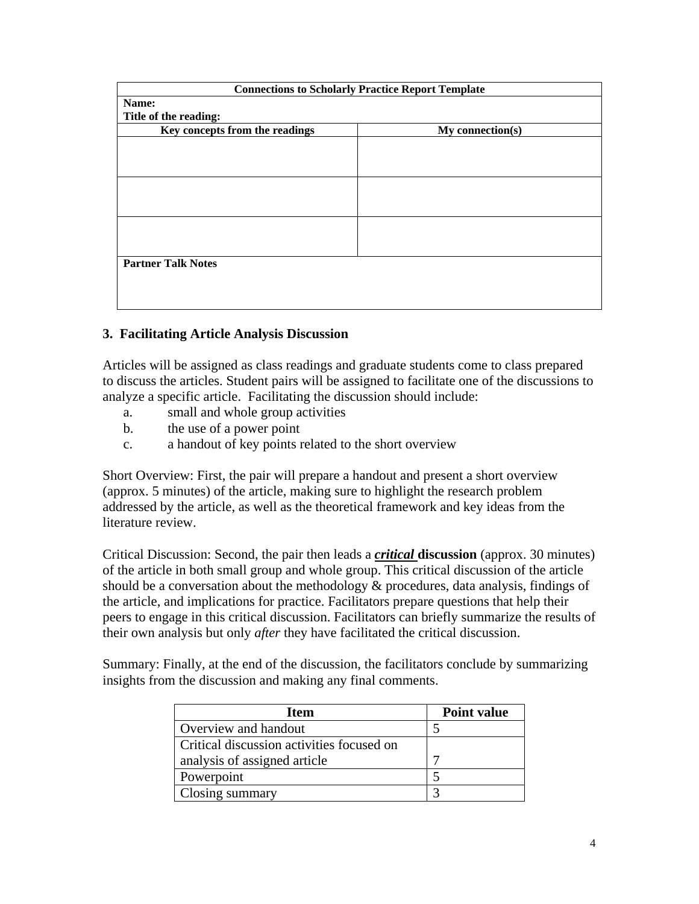|                                | <b>Connections to Scholarly Practice Report Template</b> |  |
|--------------------------------|----------------------------------------------------------|--|
| Name:                          |                                                          |  |
| Title of the reading:          |                                                          |  |
| Key concepts from the readings | My connection(s)                                         |  |
|                                |                                                          |  |
|                                |                                                          |  |
|                                |                                                          |  |
|                                |                                                          |  |
|                                |                                                          |  |
|                                |                                                          |  |
|                                |                                                          |  |
|                                |                                                          |  |
|                                |                                                          |  |
| <b>Partner Talk Notes</b>      |                                                          |  |
|                                |                                                          |  |
|                                |                                                          |  |
|                                |                                                          |  |

# **3. Facilitating Article Analysis Discussion**

Articles will be assigned as class readings and graduate students come to class prepared to discuss the articles. Student pairs will be assigned to facilitate one of the discussions to analyze a specific article. Facilitating the discussion should include:

- a. small and whole group activities
- b. the use of a power point
- c. a handout of key points related to the short overview

Short Overview: First, the pair will prepare a handout and present a short overview (approx. 5 minutes) of the article, making sure to highlight the research problem addressed by the article, as well as the theoretical framework and key ideas from the literature review.

Critical Discussion: Second, the pair then leads a *critical* **discussion** (approx. 30 minutes) of the article in both small group and whole group. This critical discussion of the article should be a conversation about the methodology  $\&$  procedures, data analysis, findings of the article, and implications for practice. Facilitators prepare questions that help their peers to engage in this critical discussion. Facilitators can briefly summarize the results of their own analysis but only *after* they have facilitated the critical discussion.

Summary: Finally, at the end of the discussion, the facilitators conclude by summarizing insights from the discussion and making any final comments.

| <b>Item</b>                               | <b>Point value</b> |
|-------------------------------------------|--------------------|
| Overview and handout                      |                    |
| Critical discussion activities focused on |                    |
| analysis of assigned article              |                    |
| Powerpoint                                |                    |
| Closing summary                           | ◠                  |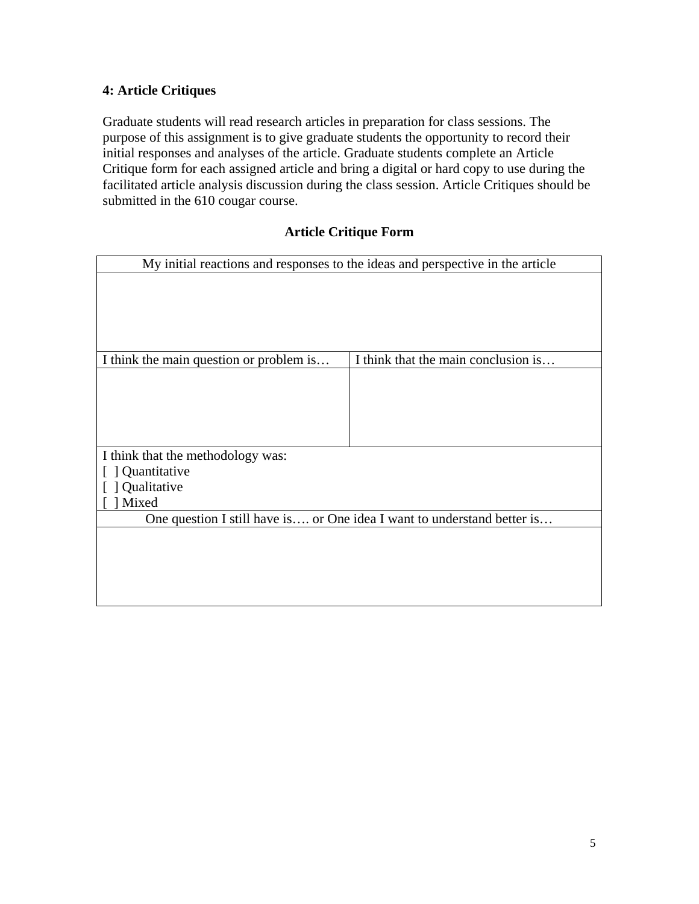# **4: Article Critiques**

Graduate students will read research articles in preparation for class sessions. The purpose of this assignment is to give graduate students the opportunity to record their initial responses and analyses of the article. Graduate students complete an Article Critique form for each assigned article and bring a digital or hard copy to use during the facilitated article analysis discussion during the class session. Article Critiques should be submitted in the 610 cougar course.

# **Article Critique Form**

|                                         | My initial reactions and responses to the ideas and perspective in the article |
|-----------------------------------------|--------------------------------------------------------------------------------|
|                                         |                                                                                |
|                                         |                                                                                |
|                                         |                                                                                |
|                                         |                                                                                |
|                                         |                                                                                |
| I think the main question or problem is | I think that the main conclusion is                                            |
|                                         |                                                                                |
|                                         |                                                                                |
|                                         |                                                                                |
|                                         |                                                                                |
|                                         |                                                                                |
| I think that the methodology was:       |                                                                                |
| ] Quantitative                          |                                                                                |
| Qualitative                             |                                                                                |
| Mixed                                   |                                                                                |
|                                         | One question I still have is or One idea I want to understand better is        |
|                                         |                                                                                |
|                                         |                                                                                |
|                                         |                                                                                |
|                                         |                                                                                |
|                                         |                                                                                |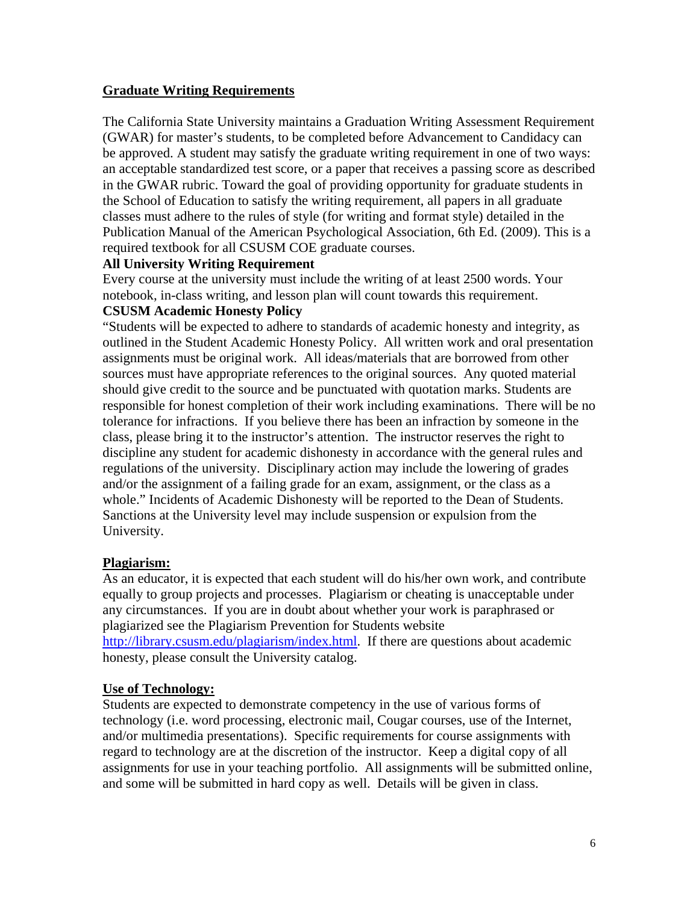# **Graduate Writing Requirements**

The California State University maintains a Graduation Writing Assessment Requirement (GWAR) for master's students, to be completed before Advancement to Candidacy can be approved. A student may satisfy the graduate writing requirement in one of two ways: an acceptable standardized test score, or a paper that receives a passing score as described in the GWAR rubric. Toward the goal of providing opportunity for graduate students in the School of Education to satisfy the writing requirement, all papers in all graduate classes must adhere to the rules of style (for writing and format style) detailed in the Publication Manual of the American Psychological Association, 6th Ed. (2009). This is a required textbook for all CSUSM COE graduate courses.

# **All University Writing Requirement**

Every course at the university must include the writing of at least 2500 words. Your notebook, in-class writing, and lesson plan will count towards this requirement.

# **CSUSM Academic Honesty Policy**  "Students will be expected to adhere to standards of academic honesty and integrity, as

outlined in the Student Academic Honesty Policy. All written work and oral presentation assignments must be original work. All ideas/materials that are borrowed from other sources must have appropriate references to the original sources. Any quoted material should give credit to the source and be punctuated with quotation marks. Students are responsible for honest completion of their work including examinations. There will be no tolerance for infractions. If you believe there has been an infraction by someone in the class, please bring it to the instructor's attention. The instructor reserves the right to discipline any student for academic dishonesty in accordance with the general rules and regulations of the university. Disciplinary action may include the lowering of grades and/or the assignment of a failing grade for an exam, assignment, or the class as a whole." Incidents of Academic Dishonesty will be reported to the Dean of Students. Sanctions at the University level may include suspension or expulsion from the University.

# **Plagiarism:**

As an educator, it is expected that each student will do his/her own work, and contribute equally to group projects and processes. Plagiarism or cheating is unacceptable under any circumstances. If you are in doubt about whether your work is paraphrased or plagiarized see the Plagiarism Prevention for Students website http://library.csusm.edu/plagiarism/index.html. If there are questions about academic honesty, please consult the University catalog.

## **Use of Technology:**

Students are expected to demonstrate competency in the use of various forms of technology (i.e. word processing, electronic mail, Cougar courses, use of the Internet, and/or multimedia presentations). Specific requirements for course assignments with regard to technology are at the discretion of the instructor. Keep a digital copy of all assignments for use in your teaching portfolio. All assignments will be submitted online, and some will be submitted in hard copy as well. Details will be given in class.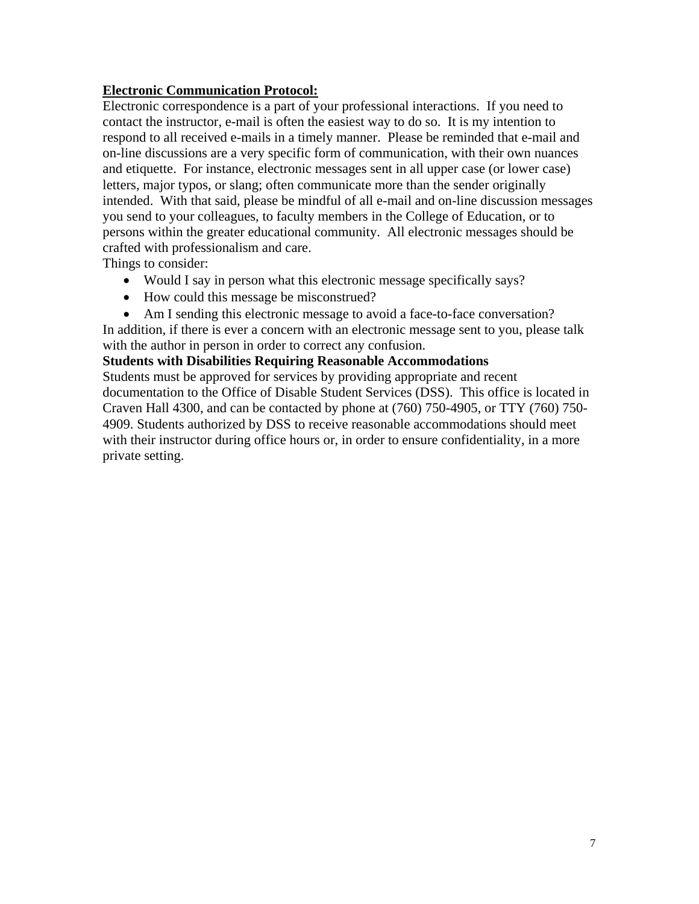# **Electronic Communication Protocol:**

Electronic correspondence is a part of your professional interactions. If you need to contact the instructor, e-mail is often the easiest way to do so. It is my intention to respond to all received e-mails in a timely manner. Please be reminded that e-mail and on-line discussions are a very specific form of communication, with their own nuances and etiquette. For instance, electronic messages sent in all upper case (or lower case) letters, major typos, or slang; often communicate more than the sender originally intended. With that said, please be mindful of all e-mail and on-line discussion messages you send to your colleagues, to faculty members in the College of Education, or to persons within the greater educational community. All electronic messages should be crafted with professionalism and care.

Things to consider:

- Would I say in person what this electronic message specifically says?
- How could this message be misconstrued?
- Am I sending this electronic message to avoid a face-to-face conversation?

In addition, if there is ever a concern with an electronic message sent to you, please talk with the author in person in order to correct any confusion.

# **Students with Disabilities Requiring Reasonable Accommodations**

Students must be approved for services by providing appropriate and recent documentation to the Office of Disable Student Services (DSS). This office is located in Craven Hall 4300, and can be contacted by phone at (760) 750-4905, or TTY (760) 750- 4909. Students authorized by DSS to receive reasonable accommodations should meet with their instructor during office hours or, in order to ensure confidentiality, in a more private setting.